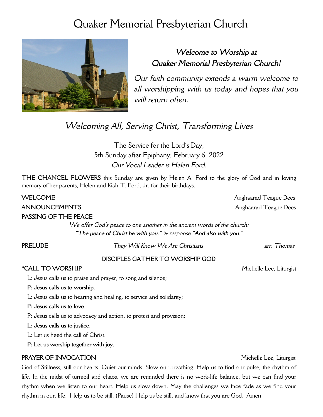# Quaker Memorial Presbyterian Church



## *Welcome to Worship at Quaker Memorial Presbyterian Church!*

*Our faith community extends a warm welcome to all worshipping with us today and hopes that you will return often.*

## *Welcoming All, Serving Christ, Transforming Lives*

The Service for the Lord's Day; 5th Sunday after Epiphany; February 6, 2022 *Our Vocal Leader is Helen Ford.*

**THE CHANCEL FLOWERS** this Sunday are given by Helen A. Ford to the glory of God and in loving memory of her parents, Helen and Kiah T. Ford, Jr. for their birthdays.

**WELCOME** Anghaarad Teague Dees

**ANNOUNCEMENTS** Anghaarad Teague Dees

**PASSING OF THE PEACE**

*We offer God's peace to one another in the ancient words of the church: "The peace of Christ be with you." & response "And also with you."*

**PRELUDE** *They Will Know We Are Christians arr. Thomas*

## **DISCIPLES GATHER TO WORSHIP GOD**

## **\*CALL TO WORSHIP** Michelle Lee, Liturgist

L: Jesus calls us to praise and prayer, to song and silence;

- **P: Jesus calls us to worship.**
- L: Jesus calls us to hearing and healing, to service and solidarity;
- **P: Jesus calls us to love.**
- P: Jesus calls us to advocacy and action, to protest and provision;
- **L: Jesus calls us to justice.**
- L: Let us heed the call of Christ.
- **P: Let us worship together with joy.**

## **PRAYER OF INVOCATION** Michelle Lee, Liturgist

God of Stillness, still our hearts. Quiet our minds. Slow our breathing. Help us to find our pulse, the rhythm of life. In the midst of turmoil and chaos, we are reminded there is no work-life balance, but we can find your rhythm when we listen to our heart. Help us slow down. May the challenges we face fade as we find your rhythm in our. life. Help us to be still. (Pause) Help us be still, and know that you are God. Amen.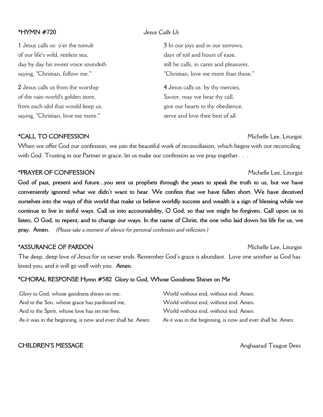## **\*HYMN #720** *Jesus Calls Us*

**1** Jesus calls us: o'er the tumult of our life's wild, restless sea; day by day his sweet voice soundeth saying, "Christian, follow me."

**2** Jesus calls us from the worship of the vain world's golden store, from each idol that would keep us, saying, "Christian, love me more."

**3** In our joys and in our sorrows, days of toil and hours of ease, still he calls, in cares and pleasures, "Christian, love me more than these."

**4** Jesus calls us: by thy mercies, Savior, may we hear thy call, give our hearts to thy obedience, serve and love thee best of all.

## **\*CALL TO CONFESSION** Michelle Lee, Liturgist

When we offer God our confession, we join the beautiful work of reconciliation, which begins with our reconciling with God. Trusting in our Partner in grace, let us make our confession as we pray together...

## **\*PRAYER OF CONFESSION** Michelle Lee, Liturgist

**God of past, present and future...you sent us prophets through the years to speak the truth to us, but we have conveniently ignored what we didn't want to hear. We confess that we have fallen short. We have deceived ourselves into the ways of this world that make us believe worldly success and wealth is a sign of blessing while we continue to live in sinful ways. Call us into accountability, O God, so that we might be forgiven. Call upon us to listen, O God, to repent, and to change our ways. In the name of Christ, the one who laid down his life for us, we pray. Amen.** *(Please take a moment of silence for personal confession and reflection.)*

## **\*ASSURANCE OF PARDON** Michelle Lee, Liturgist

The deep, deep love of Jesus for us never ends. Remember God's grace is abundant. Love one another as God has loved you, and it will go well with you. **Amen.**

## **\*CHORAL RESPONSE Hymn #582 Glory to God, Whose Goodness Shines on Me**

| Glory to God, whose goodness shines on me,                 | World without end, without end. Amen.                      |
|------------------------------------------------------------|------------------------------------------------------------|
| And to the Son, whose grace has pardoned me,               | World without end, without end. Amen.                      |
| And to the Spirit, whose love has set me free.             | World without end, without end. Amen.                      |
| As it was in the beginning, is now and ever shall be. Amen | As it was in the beginning, is now and ever shall be. Amen |

## **CHILDREN'S MESSAGE** Anghaarad Teague Dees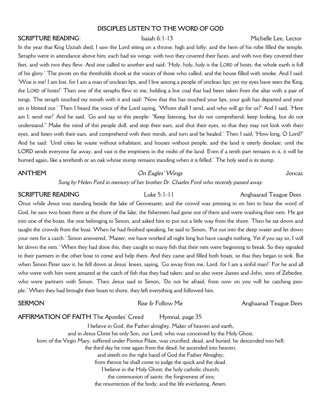### **DISCIPLES LISTEN TO THE WORD OF GOD**

### **SCRIPTURE READING:** Isaiah 6:1-13 Michelle Lee, Lector

In the year that King Uzziah died, I saw the Lord sitting on a throne, high and lofty; and the hem of his robe filled the temple. Seraphs were in attendance above him; each had six wings: with two they covered their faces, and with two they covered their feet, and with two they flew. And one called to another and said: 'Holy, holy, holy is the LORD of hosts; the whole earth is full of his glory.' The pivots on the thresholds shook at the voices of those who called, and the house filled with smoke. And I said: 'Woe is me! I am lost, for I am a man of unclean lips, and I live among a people of unclean lips; yet my eyes have seen the King, the LORD of hosts!' Then one of the seraphs flew to me, holding a live coal that had been taken from the altar with a pair of tongs. The seraph touched my mouth with it and said: 'Now that this has touched your lips, your guilt has departed and your sin is blotted out.' Then I heard the voice of the Lord saying, 'Whom shall I send, and who will go for us?' And I said, 'Here am I; send me!' And he said, 'Go and say to this people: "Keep listening, but do not comprehend; keep looking, but do not understand." Make the mind of this people dull, and stop their ears, and shut their eyes, so that they may not look with their eyes, and listen with their ears, and comprehend with their minds, and turn and be healed.' Then I said, 'How long, O Lord?' And he said: 'Until cities lie waste without inhabitant, and houses without people, and the land is utterly desolate; until the LORD sends everyone far away, and vast is the emptiness in the midst of the land. Even if a tenth part remains in it, it will be burned again, like a terebinth or an oak whose stump remains standing when it is felled.' The holy seed is its stump.

### **ANTHEM** *On Eagles' Wings* Joncas

## *Sung by Helen Ford in memory of her brother Dr. Charles Ford who recently passed away.*

**SCRIPTURE READING Luke** 5:1-11 **Anghaarad Teague Dees** 

Once while Jesus was standing beside the lake of Gennesaret, and the crowd was pressing in on him to hear the word of God, he saw two boats there at the shore of the lake; the fishermen had gone out of them and were washing their nets. He got into one of the boats, the one belonging to Simon, and asked him to put out a little way from the shore. Then he sat down and taught the crowds from the boat. When he had finished speaking, he said to Simon, 'Put out into the deep water and let down your nets for a catch.' Simon answered, 'Master, we have worked all night long but have caught nothing. Yet if you say so, I will let down the nets.' When they had done this, they caught so many fish that their nets were beginning to break. So they signaled to their partners in the other boat to come and help them. And they came and filled both boats, so that they began to sink. But when Simon Peter saw it, he fell down at Jesus' knees, saying, 'Go away from me, Lord, for I am a sinful man!' For he and all who were with him were amazed at the catch of fish that they had taken; and so also were James and John, sons of Zebedee, who were partners with Simon. Then Jesus said to Simon, 'Do not be afraid; from now on you will be catching people.' When they had brought their boats to shore, they left everything and followed him.

## **SERMON** Rise & Follow Me Anghaarad Teague Dees

**AFFIRMATION OF FAITH** The Apostles' Creed Hymnal, page 35

I believe in God, the Father almighty, Maker of heaven and earth,

and in Jesus Christ his only Son, our Lord; who was conceived by the Holy Ghost,

born of the Virgin Mary, suffered under Pontius Pilate, was crucified, dead, and buried; he descended into hell;

the third day he rose again from the dead; he ascended into heaven,

and sitteth on the right hand of God the Father Almighty;

from thence he shall come to judge the quick and the dead.

I believe in the Holy Ghost; the holy catholic church;

the communion of saints; the forgiveness of sins;

the resurrection of the body; and the life everlasting. Amen.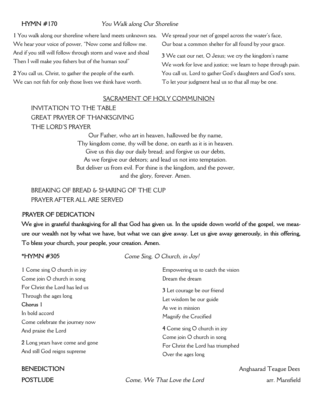**1** You walk along our shoreline where land meets unknown sea. We spread your net of gospel across the water's face, We hear your voice of power, "Now come and follow me. And if you still will follow through storm and wave and shoal Then I will make you fishers but of the human soul"

**2** You call us, Christ, to gather the people of the earth. We can not fish for only those lives we think have worth. Our boat a common shelter for all found by your grace.

**3** We cast our net, O Jesus; we cry the kingdom's name We work for love and justice; we learn to hope through pain. You call us, Lord to gather God's daughters and God's sons, To let your judgment heal us so that all may be one.

## SACRAMENT OF HOLY COMMUNION

## INVITATION TO THE TABLE GREAT PRAYER OF THANKSGIVING THE LORD'S PRAYER

Our Father, who art in heaven, hallowed be thy name, Thy kingdom come, thy will be done, on earth as it is in heaven. Give us this day our daily bread; and forgive us our debts, As we forgive our debtors; and lead us not into temptation. But deliver us from evil. For thine is the kingdom, and the power, and the glory, forever. Amen.

BREAKING OF BREAD & SHARING OF THE CUP PRAYER AFTER ALL ARE SERVED

## \**PRAYER OF DEDICATION**

**We give in grateful thanksgiving for all that God has given us. In the upside down world of the gospel, we measure our wealth not by what we have, but what we can give away. Let us give away generously, in this offering, To bless your church, your people, your creation. Amen.**

## **\*HYMN #305** *Come Sing, O Church, in Joy!*

| 1 Come sing O church in joy                                     | Empowering us to catch the vision           |
|-----------------------------------------------------------------|---------------------------------------------|
| Come join O church in song                                      | Dream the dream                             |
| For Christ the Lord has led us                                  | 3 Let courage be our friend                 |
| Through the ages long                                           | Let wisdom be our guide<br>As we in mission |
| Chorus 1                                                        |                                             |
| In bold accord                                                  | Magnify the Crucified                       |
| Come celebrate the journey now                                  |                                             |
| And praise the Lord                                             | <b>4</b> Come sing O church in joy          |
|                                                                 | Come join O church in song                  |
| 2 Long years have come and gone<br>And still God reigns supreme | For Christ the Lord has triumphed           |
|                                                                 | Over the ages long                          |

**BENEDICTION** Anghaarad Teague Dees

**POSTLUDE** *Come, We That Love the Lord* arr. Mansfield